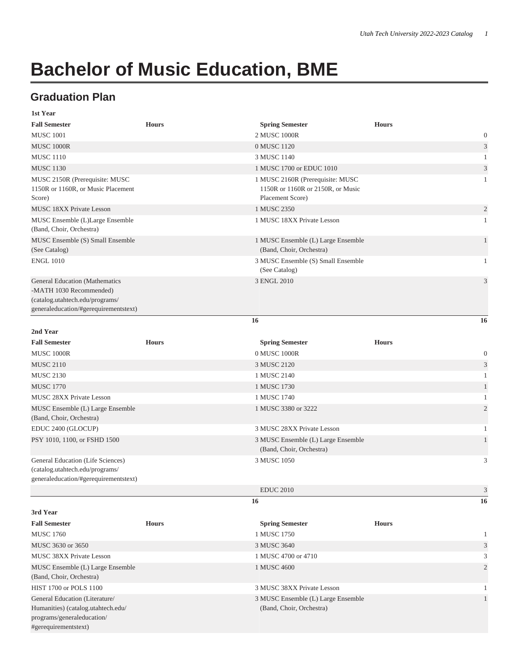## **Bachelor of Music Education, BME**

## **Graduation Plan**

| 1st Year                                                                                                                                     |              |                                                                                           |              |                             |
|----------------------------------------------------------------------------------------------------------------------------------------------|--------------|-------------------------------------------------------------------------------------------|--------------|-----------------------------|
| <b>Fall Semester</b>                                                                                                                         | <b>Hours</b> | <b>Spring Semester</b>                                                                    | <b>Hours</b> |                             |
| <b>MUSC 1001</b>                                                                                                                             |              | 2 MUSC 1000R                                                                              |              | $\boldsymbol{0}$            |
| MUSC 1000R                                                                                                                                   |              | 0 MUSC 1120                                                                               |              | $\mathfrak{Z}$              |
| <b>MUSC 1110</b>                                                                                                                             |              | 3 MUSC 1140                                                                               |              | 1                           |
| <b>MUSC 1130</b>                                                                                                                             |              | 1 MUSC 1700 or EDUC 1010                                                                  |              | $\ensuremath{\mathfrak{Z}}$ |
| MUSC 2150R (Prerequisite: MUSC<br>1150R or 1160R, or Music Placement<br>Score)                                                               |              | 1 MUSC 2160R (Prerequisite: MUSC<br>1150R or 1160R or 2150R, or Music<br>Placement Score) |              | 1                           |
| <b>MUSC 18XX Private Lesson</b>                                                                                                              |              | 1 MUSC 2350                                                                               |              | $\overline{c}$              |
| MUSC Ensemble (L)Large Ensemble<br>(Band, Choir, Orchestra)                                                                                  |              | 1 MUSC 18XX Private Lesson                                                                |              | $\mathbf{1}$                |
| MUSC Ensemble (S) Small Ensemble<br>(See Catalog)                                                                                            |              | 1 MUSC Ensemble (L) Large Ensemble<br>(Band, Choir, Orchestra)                            |              | $\mathbf{1}$                |
| <b>ENGL 1010</b>                                                                                                                             |              | 3 MUSC Ensemble (S) Small Ensemble<br>(See Catalog)                                       |              | 1                           |
| <b>General Education (Mathematics</b><br>-MATH 1030 Recommended)<br>(catalog.utahtech.edu/programs/<br>generaleducation/#gerequirementstext) |              | 3 ENGL 2010                                                                               |              | $\mathfrak{Z}$              |
|                                                                                                                                              |              | 16                                                                                        |              | 16                          |
| 2nd Year                                                                                                                                     |              |                                                                                           |              |                             |
| <b>Fall Semester</b>                                                                                                                         | <b>Hours</b> | <b>Spring Semester</b>                                                                    | <b>Hours</b> |                             |
| <b>MUSC 1000R</b>                                                                                                                            |              | 0 MUSC 1000R                                                                              |              | $\boldsymbol{0}$            |
| <b>MUSC 2110</b>                                                                                                                             |              | 3 MUSC 2120                                                                               |              | $\mathfrak{Z}$              |
| <b>MUSC 2130</b>                                                                                                                             |              | 1 MUSC 2140                                                                               |              | $\mathbf{1}$                |
| <b>MUSC 1770</b>                                                                                                                             |              | 1 MUSC 1730                                                                               |              | 1                           |
| <b>MUSC 28XX Private Lesson</b>                                                                                                              |              | 1 MUSC 1740                                                                               |              | 1                           |
| MUSC Ensemble (L) Large Ensemble                                                                                                             |              | 1 MUSC 3380 or 3222                                                                       |              | $\overline{2}$              |
| (Band, Choir, Orchestra)                                                                                                                     |              |                                                                                           |              |                             |
| EDUC 2400 (GLOCUP)                                                                                                                           |              | 3 MUSC 28XX Private Lesson                                                                |              | 1                           |
| PSY 1010, 1100, or FSHD 1500                                                                                                                 |              | 3 MUSC Ensemble (L) Large Ensemble<br>(Band, Choir, Orchestra)                            |              | 1                           |
| General Education (Life Sciences)<br>(catalog.utahtech.edu/programs/<br>generaleducation/#gerequirementstext)                                |              | 3 MUSC 1050                                                                               |              | 3                           |
|                                                                                                                                              |              | <b>EDUC 2010</b>                                                                          |              | 3                           |
|                                                                                                                                              |              | 16                                                                                        |              | 16                          |
| 3rd Year                                                                                                                                     |              |                                                                                           |              |                             |
| <b>Fall Semester</b>                                                                                                                         | <b>Hours</b> | <b>Spring Semester</b>                                                                    | <b>Hours</b> |                             |
| <b>MUSC 1760</b>                                                                                                                             |              | 1 MUSC 1750                                                                               |              | 1                           |
| MUSC 3630 or 3650                                                                                                                            |              | 3 MUSC 3640                                                                               |              | $\mathfrak{Z}$              |
| MUSC 38XX Private Lesson                                                                                                                     |              | 1 MUSC 4700 or 4710                                                                       |              | 3                           |
| MUSC Ensemble (L) Large Ensemble<br>(Band, Choir, Orchestra)                                                                                 |              | 1 MUSC 4600                                                                               |              | $\overline{2}$              |
| HIST 1700 or POLS 1100                                                                                                                       |              | 3 MUSC 38XX Private Lesson                                                                |              | 1                           |
| General Education (Literature/<br>Humanities) (catalog.utahtech.edu/<br>programs/generaleducation/<br>#gerequirementstext)                   |              | 3 MUSC Ensemble (L) Large Ensemble<br>(Band, Choir, Orchestra)                            |              | $\,1\,$                     |